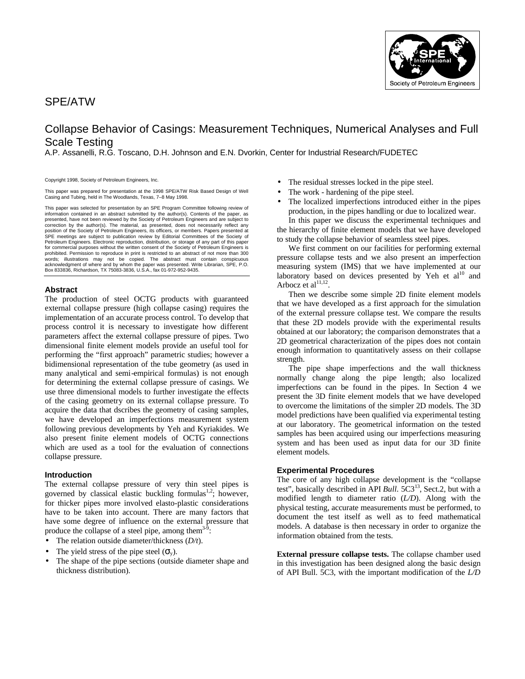## SPE/ATW



# Collapse Behavior of Casings: Measurement Techniques, Numerical Analyses and Full Scale Testing

A.P. Assanelli, R.G. Toscano, D.H. Johnson and E.N. Dvorkin, Center for Industrial Research/FUDETEC

Copyright 1998, Society of Petroleum Engineers, Inc.

This paper was prepared for presentation at the 1998 SPE/ATW Risk Based Design of Well Casing and Tubing, held in The Woodlands, Texas, 7–8 May 1998.

This paper was selected for presentation by an SPE Program Committee following review of information contained in an abstract submitted by the author(s). Contents of the paper, as presented, have not been reviewed by the Society of Petroleum Engineers and are subject to correction by the author(s). The material, as presented, does not necessarily reflect any position of the Society of Petroleum Engineers, its officers, or members. Papers presented at SPE meetings are subject to publication review by Editorial Committees of the Society of Petroleum Engineers. Electronic reproduction, distribution, or storage of any part of this paper for commercial purposes without the written consent of the Society of Petroleum Engineers is prohibited. Permission to reproduce in print is restricted to an abstract of not more than 300 words; illustrations may not be copied. The abstract must contain conspicuous<br>acknowledgment of where and by whom the paper was presented. Write Librarian, SPE, P.O.<br>Box 833836, Richardson, TX 75083-3836, U.S.A., fax 01-97

### **Abstract**

The production of steel OCTG products with guaranteed external collapse pressure (high collapse casing) requires the implementation of an accurate process control. To develop that process control it is necessary to investigate how different parameters affect the external collapse pressure of pipes. Two dimensional finite element models provide an useful tool for performing the "first approach" parametric studies; however a bidimensional representation of the tube geometry (as used in many analytical and semi-empirical formulas) is not enough for determining the external collapse pressure of casings. We use three dimensional models to further investigate the effects of the casing geometry on its external collapse pressure. To acquire the data that dscribes the geometry of casing samples, we have developed an imperfections measurement system following previous developments by Yeh and Kyriakides. We also present finite element models of OCTG connections which are used as a tool for the evaluation of connections collapse pressure.

### **Introduction**

The external collapse pressure of very thin steel pipes is governed by classical elastic buckling formulas<sup>1,2</sup>; however, for thicker pipes more involved elasto-plastic considerations have to be taken into account. There are many factors that have some degree of influence on the external pressure that produce the collapse of a steel pipe, among them $3-3$ :

- The relation outside diameter/thickness (*D/t*).
- The yield stress of the pipe steel  $(\sigma_{v})$ .
- The shape of the pipe sections (outside diameter shape and thickness distribution).
- The residual stresses locked in the pipe steel.
- The work hardening of the pipe steel.
- The localized imperfections introduced either in the pipes production, in the pipes handling or due to localized wear. In this paper we discuss the experimental techniques and the hierarchy of finite element models that we have developed to study the collapse behavior of seamless steel pipes.

We first comment on our facilities for performing external pressure collapse tests and we also present an imperfection measuring system (IMS) that we have implemented at our laboratory based on devices presented by Yeh et  $al<sup>10</sup>$  and Arbocz et al $^{11,12}$ .

Then we describe some simple 2D finite element models that we have developed as a first approach for the simulation of the external pressure collapse test. We compare the results that these 2D models provide with the experimental results obtained at our laboratory; the comparison demonstrates that a 2D geometrical characterization of the pipes does not contain enough information to quantitatively assess on their collapse strength.

The pipe shape imperfections and the wall thickness normally change along the pipe length; also localized imperfections can be found in the pipes. In Section 4 we present the 3D finite element models that we have developed to overcome the limitations of the simpler 2D models. The 3D model predictions have been qualified via experimental testing at our laboratory. The geometrical information on the tested samples has been acquired using our imperfections measuring system and has been used as input data for our 3D finite element models.

### **Experimental Procedures**

The core of any high collapse development is the "collapse test", basically described in API *Bull.* 5C3<sup>13</sup>, Sect.2, but with a modified length to diameter ratio (*L/D*). Along with the physical testing, accurate measurements must be performed, to document the test itself as well as to feed mathematical models. A database is then necessary in order to organize the information obtained from the tests.

**External pressure collapse tests.** The collapse chamber used in this investigation has been designed along the basic design of API Bull. 5C3, with the important modification of the *L/D*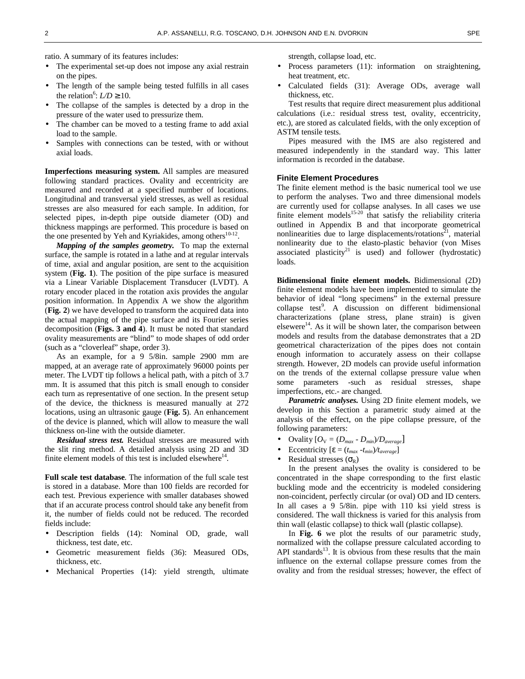ratio. A summary of its features includes:

- The experimental set-up does not impose any axial restrain on the pipes.
- The length of the sample being tested fulfills in all cases the relation<sup>6</sup>:  $LD \ge 10$ .
- The collapse of the samples is detected by a drop in the pressure of the water used to pressurize them.
- The chamber can be moved to a testing frame to add axial load to the sample.
- Samples with connections can be tested, with or without axial loads.

**Imperfections measuring system.** All samples are measured following standard practices. Ovality and eccentricity are measured and recorded at a specified number of locations. Longitudinal and transversal yield stresses, as well as residual stresses are also measured for each sample. In addition, for selected pipes, in-depth pipe outside diameter (OD) and thickness mappings are performed. This procedure is based on the one presented by Yeh and Kyriakides, among others $10-12$ .

*Mapping of the samples geometry.* To map the external surface, the sample is rotated in a lathe and at regular intervals of time, axial and angular position, are sent to the acquisition system (**Fig. 1**). The position of the pipe surface is measured via a Linear Variable Displacement Transducer (LVDT). A rotary encoder placed in the rotation axis provides the angular position information. In Appendix A we show the algorithm (**Fig. 2**) we have developed to transform the acquired data into the actual mapping of the pipe surface and its Fourier series decomposition (**Figs. 3 and 4**). It must be noted that standard ovality measurements are "blind" to mode shapes of odd order (such as a "cloverleaf" shape, order 3).

As an example, for a 9 5/8in. sample 2900 mm are mapped, at an average rate of approximately 96000 points per meter. The LVDT tip follows a helical path, with a pitch of 3.7 mm. It is assumed that this pitch is small enough to consider each turn as representative of one section. In the present setup of the device, the thickness is measured manually at 272 locations, using an ultrasonic gauge (**Fig. 5**). An enhancement of the device is planned, which will allow to measure the wall thickness on-line with the outside diameter.

*Residual stress test.* Residual stresses are measured with the slit ring method. A detailed analysis using 2D and 3D finite element models of this test is included elsewhere $^{14}$ .

**Full scale test database**. The information of the full scale test is stored in a database. More than 100 fields are recorded for each test. Previous experience with smaller databases showed that if an accurate process control should take any benefit from it, the number of fields could not be reduced. The recorded fields include:

- Description fields (14): Nominal OD, grade, wall thickness, test date, etc.
- Geometric measurement fields (36): Measured ODs, thickness, etc.
- Mechanical Properties (14): yield strength, ultimate

strength, collapse load, etc.

- Process parameters (11): information on straightening, heat treatment, etc.
- Calculated fields (31): Average ODs, average wall thickness, etc.

Test results that require direct measurement plus additional calculations (i.e.: residual stress test, ovality, eccentricity, etc.), are stored as calculated fields, with the only exception of ASTM tensile tests.

Pipes measured with the IMS are also registered and measured independently in the standard way. This latter information is recorded in the database.

### **Finite Element Procedures**

The finite element method is the basic numerical tool we use to perform the analyses. Two and three dimensional models are currently used for collapse analyses. In all cases we use finite element models<sup>15-20</sup> that satisfy the reliability criteria outlined in Appendix B and that incorporate geometrical nonlinearities due to large displacements/rotations<sup>21</sup>, material nonlinearity due to the elasto-plastic behavior (von Mises associated plasticity<sup>21</sup> is used) and follower (hydrostatic) loads.

**Bidimensional finite element models.** Bidimensional (2D) finite element models have been implemented to simulate the behavior of ideal "long specimens" in the external pressure collapse test<sup>9</sup>. A discussion on different bidimensional characterizations (plane stress, plane strain) is given elsewere<sup>14</sup>. As it will be shown later, the comparison between models and results from the database demonstrates that a 2D geometrical characterization of the pipes does not contain enough information to accurately assess on their collapse strength. However, 2D models can provide useful information on the trends of the external collapse pressure value when some parameters -such as residual stresses, shape imperfections, etc.- are changed.

*Parametric analyses.* Using 2D finite element models, we develop in this Section a parametric study aimed at the analysis of the effect, on the pipe collapse pressure, of the following parameters:

- Ovality  $[O_V = (D_{max} D_{min})/D_{average}]$
- Eccentricity [ε = (*tmax -tmin*)*/taverage*]
- Residual stresses  $(\sigma_R)$

In the present analyses the ovality is considered to be concentrated in the shape corresponding to the first elastic buckling mode and the eccentricity is modeled considering non-coincident, perfectly circular (or oval) OD and ID centers. In all cases a 9 5/8in. pipe with 110 ksi yield stress is considered. The wall thickness is varied for this analysis from thin wall (elastic collapse) to thick wall (plastic collapse).

In **Fig. 6** we plot the results of our parametric study, normalized with the collapse pressure calculated according to API standards $^{13}$ . It is obvious from these results that the main influence on the external collapse pressure comes from the ovality and from the residual stresses; however, the effect of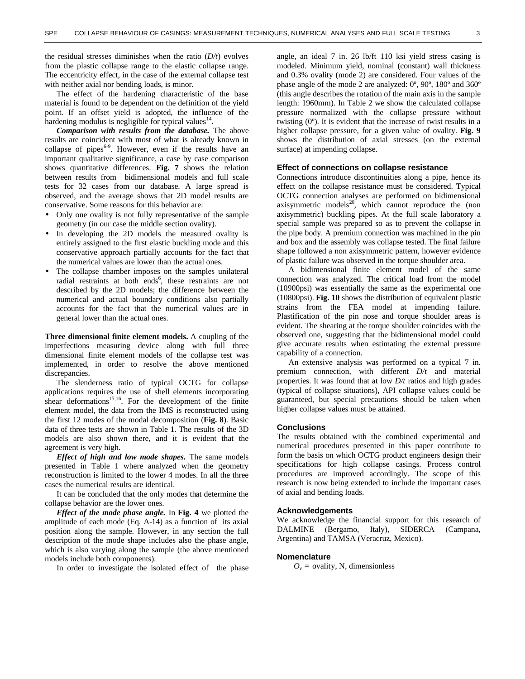the residual stresses diminishes when the ratio (*D/t*) evolves from the plastic collapse range to the elastic collapse range. The eccentricity effect, in the case of the external collapse test with neither axial nor bending loads, is minor.

The effect of the hardening characteristic of the base material is found to be dependent on the definition of the yield point. If an offset yield is adopted, the influence of the hardening modulus is negligible for typical values $14$ .

*Comparison with results from the database.* The above results are coincident with most of what is already known in collapse of pipes<sup> $6-9$ </sup>. However, even if the results have an important qualitative significance, a case by case comparison shows quantitative differences. **Fig. 7** shows the relation between results from bidimensional models and full scale tests for 32 cases from our database. A large spread is observed, and the average shows that 2D model results are conservative. Some reasons for this behavior are:

- Only one ovality is not fully representative of the sample geometry (in our case the middle section ovality).
- In developing the 2D models the measured ovality is entirely assigned to the first elastic buckling mode and this conservative approach partially accounts for the fact that the numerical values are lower than the actual ones.
- The collapse chamber imposes on the samples unilateral radial restraints at both ends<sup>6</sup>, these restraints are not described by the 2D models; the difference between the numerical and actual boundary conditions also partially accounts for the fact that the numerical values are in general lower than the actual ones.

**Three dimensional finite element models.** A coupling of the imperfections measuring device along with full three dimensional finite element models of the collapse test was implemented, in order to resolve the above mentioned discrepancies.

The slenderness ratio of typical OCTG for collapse applications requires the use of shell elements incorporating shear deformations<sup>15,16</sup>. For the development of the finite element model, the data from the IMS is reconstructed using the first 12 modes of the modal decomposition (**Fig. 8**). Basic data of three tests are shown in Table 1. The results of the 3D models are also shown there, and it is evident that the agreement is very high.

*Effect of high and low mode shapes.* The same models presented in Table 1 where analyzed when the geometry reconstruction is limited to the lower 4 modes. In all the three cases the numerical results are identical.

It can be concluded that the only modes that determine the collapse behavior are the lower ones.

*Effect of the mode phase angle.* In **Fig. 4** we plotted the amplitude of each mode (Eq. A-14) as a function of its axial position along the sample. However, in any section the full description of the mode shape includes also the phase angle, which is also varying along the sample (the above mentioned models include both components).

In order to investigate the isolated effect of the phase

angle, an ideal 7 in. 26 lb/ft 110 ksi yield stress casing is modeled. Minimum yield, nominal (constant) wall thickness and 0.3% ovality (mode 2) are considered. Four values of the phase angle of the mode 2 are analyzed: 0º, 90º, 180º and 360º (this angle describes the rotation of the main axis in the sample length: 1960mm). In Table 2 we show the calculated collapse pressure normalized with the collapse pressure without twisting (0º). It is evident that the increase of twist results in a higher collapse pressure, for a given value of ovality. **Fig. 9** shows the distribution of axial stresses (on the external surface) at impending collapse.

### **Effect of connections on collapse resistance**

Connections introduce discontinuities along a pipe, hence its effect on the collapse resistance must be considered. Typical OCTG connection analyses are performed on bidimensional axisymmetric models $^{20}$ , which cannot reproduce the (non axisymmetric) buckling pipes. At the full scale laboratory a special sample was prepared so as to prevent the collapse in the pipe body. A premium connection was machined in the pin and box and the assembly was collapse tested. The final failure shape followed a non axisymmetric pattern, however evidence of plastic failure was observed in the torque shoulder area.

A bidimensional finite element model of the same connection was analyzed. The critical load from the model (10900psi) was essentially the same as the experimental one (10800psi). **Fig. 10** shows the distribution of equivalent plastic strains from the FEA model at impending failure. Plastification of the pin nose and torque shoulder areas is evident. The shearing at the torque shoulder coincides with the observed one, suggesting that the bidimensional model could give accurate results when estimating the external pressure capability of a connection.

An extensive analysis was performed on a typical 7 in. premium connection, with different *D/t* and material properties. It was found that at low *D/t* ratios and high grades (typical of collapse situations), API collapse values could be guaranteed, but special precautions should be taken when higher collapse values must be attained.

#### **Conclusions**

The results obtained with the combined experimental and numerical procedures presented in this paper contribute to form the basis on which OCTG product engineers design their specifications for high collapse casings. Process control procedures are improved accordingly. The scope of this research is now being extended to include the important cases of axial and bending loads.

### **Acknowledgements**

We acknowledge the financial support for this research of DALMINE (Bergamo, Italy), SIDERCA (Campana, Argentina) and TAMSA (Veracruz, Mexico).

### **Nomenclature**

 $O_v$  = ovality, N, dimensionless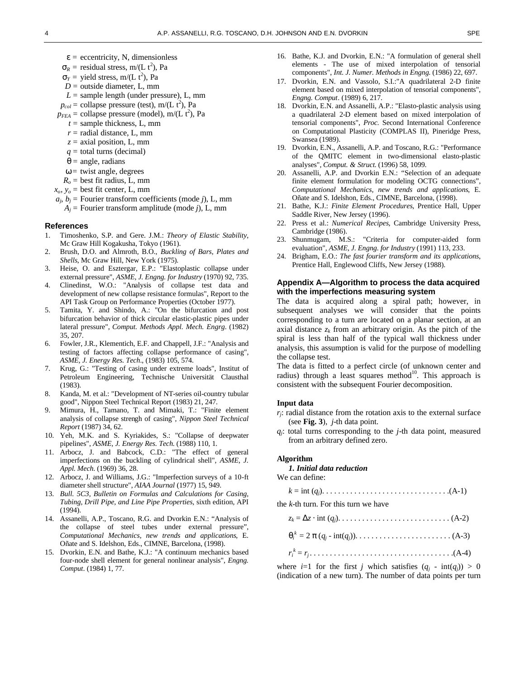- ε *=* eccentricity, N, dimensionless
- $\sigma_R$  = residual stress, m/(L t<sup>2</sup>), Pa
- $\sigma_Y$  = yield stress, m/(L t<sup>2</sup>), Pa
- $D =$  outside diameter, L, mm
- $L =$  sample length (under pressure),  $L$ , mm
- $p_{col}$  = collapse pressure (test), m/(L t<sup>2</sup>), Pa
- $p_{FEA}$  = collapse pressure (model), m/(L t<sup>2</sup>), Pa
	- $t =$  sample thickness, L, mm
	- $r =$  radial distance, L, mm
	- *z* = axial position, L, mm
	- *q* = total turns (decimal)
	- $\theta$  = angle, radians
	- $\omega$  = twist angle, degrees
- $R<sub>o</sub>$  = best fit radius, L, mm
- $x_o, y_o$  = best fit center, L, mm
- $a_j$ ,  $b_j$  = Fourier transform coefficients (mode *j*), L, mm  $A_i$  = Fourier transform amplitude (mode *j*), L, mm

#### **References**

- 1. Timoshenko, S.P. and Gere. J.M.: *Theory of Elastic Stability*, Mc Graw Hill Kogakusha, Tokyo (1961).
- 2. Brush, D.O. and Almroth, B.O., *Buckling of Bars, Plates and Shells*, Mc Graw Hill, New York (1975).
- 3. Heise, O. and Esztergar, E.P.: "Elastoplastic collapse under external pressure", *ASME, J. Engng. for Industry* (1970) 92, 735.
- 4. Clinedinst, W.O.: "Analysis of collapse test data and development of new collapse resistance formulas", Report to the API Task Group on Performance Properties (October 1977).
- 5. Tamita, Y. and Shindo, A.: "On the bifurcation and post bifurcation behavior of thick circular elastic-plastic pipes under lateral pressure", *Comput. Methods Appl. Mech. Engrg*. (1982) 35, 207.
- 6. Fowler, J.R., Klementich, E.F. and Chappell, J.F.: "Analysis and testing of factors affecting collapse performance of casing", *ASME, J. Energy Res. Tech*., (1983) 105, 574.
- 7. Krug, G.: "Testing of casing under extreme loads", Institut of Petroleum Engineering, Technische Universität Clausthal (1983).
- 8. Kanda, M. et al.: "Development of NT-series oil-country tubular good", Nippon Steel Technical Report (1983) 21, 247.
- 9. Mimura, H., Tamano, T. and Mimaki, T.: "Finite element analysis of collapse strengh of casing", *Nippon Steel Technical Report* (1987) 34, 62.
- 10. Yeh, M.K. and S. Kyriakides, S.: "Collapse of deepwater pipelines", *ASME, J. Energy Res. Tech*. (1988) 110, 1.
- 11. Arbocz, J. and Babcock, C.D.: "The effect of general imperfections on the buckling of cylindrical shell", *ASME, J. Appl. Mech*. (1969) 36, 28.
- 12. Arbocz, J. and Williams, J.G.: "Imperfection surveys of a 10-ft diameter shell structure", *AIAA Journal* (1977) 15, 949.
- 13. *Bull. 5C3, Bulletin on Formulas and Calculations for Casing, Tubing, Drill Pipe, and Line Pipe Properties*, sixth edition, API (1994).
- 14. Assanelli, A.P., Toscano, R.G. and Dvorkin E.N.: "Analysis of the collapse of steel tubes under external pressure", *Computational Mechanics, new trends and applications*, E. Oñate and S. Idelshon, Eds., CIMNE, Barcelona, (1998).
- 15. Dvorkin, E.N. and Bathe, K.J.: "A continuum mechanics based four-node shell element for general nonlinear analysis", *Engng. Comput*. (1984) 1, 77.
- 16. Bathe, K.J. and Dvorkin, E.N.: "A formulation of general shell elements - The use of mixed interpolation of tensorial components", *Int. J. Numer. Methods in Engng*. (1986) 22, 697.
- 17. Dvorkin, E.N. and Vassolo, S.I.:"A quadrilateral 2-D finite element based on mixed interpolation of tensorial components", *Engng. Comput*. (1989) 6, 217.
- 18. Dvorkin, E.N. and Assanelli, A.P.: "Elasto-plastic analysis using a quadrilateral 2-D element based on mixed interpolation of tensorial components", *Proc*. Second International Conference on Computational Plasticity (COMPLAS II), Pineridge Press, Swansea (1989).
- 19. Dvorkin, E.N., Assanelli, A.P. and Toscano, R.G.: "Performance of the QMITC element in two-dimensional elasto-plastic analyses", *Comput. & Struct*. (1996) 58, 1099.
- 20. Assanelli, A.P. and Dvorkin E.N.: "Selection of an adequate finite element formulation for modeling OCTG connections", *Computational Mechanics, new trends and applications*, E. Oñate and S. Idelshon, Eds., CIMNE, Barcelona, (1998).
- 21. Bathe, K.J.: *Finite Element Procedures*, Prentice Hall, Upper Saddle River, New Jersey (1996).
- 22. Press et al.: *Numerical Recipes*, Cambridge University Press, Cambridge (1986).
- 23. Shunmugam, M.S.: "Criteria for computer-aided form evaluation", *ASME, J. Engng. for Industry* (1991) 113, 233.
- 24. Brigham, E.O.: *The fast fourier transform and its applications*, Prentice Hall, Englewood Cliffs, New Jersey (1988).

### **Appendix A—Algorithm to process the data acquired with the imperfections measuring system**

The data is acquired along a spiral path; however, in subsequent analyses we will consider that the points corresponding to a turn are located on a planar section, at an axial distance  $z_k$  from an arbitrary origin. As the pitch of the spiral is less than half of the typical wall thickness under analysis, this assumption is valid for the purpose of modelling the collapse test.

The data is fitted to a perfect circle (of unknown center and radius) through a least squares method<sup>10</sup>. This approach is consistent with the subsequent Fourier decomposition.

#### **Input data**

- *rj*: radial distance from the rotation axis to the external surface (see **Fig. 3**), *j*-th data point.
- *qj* : total turns corresponding to the *j*-th data point, measured from an arbitrary defined zero.

#### **Algorithm**

### *1. Initial data reduction*

We can define:

|--|--|--|--|

the *k*-th turn. For this turn we have

|--|--|--|

| $\theta_i^k = 2 \pi (q_i - \text{int}(q_i)) \dots \dots \dots \dots \dots \dots \dots \dots \dots (A-3)$ |  |  |
|----------------------------------------------------------------------------------------------------------|--|--|
|                                                                                                          |  |  |

*ri k* = *r<sup>j</sup>* . . . . . . . . . . . . . . . . . . . . . . . . . . . . . . . . . . . .(A-4) where  $i=1$  for the first *j* which satisfies  $(q_i - \text{int}(q_i)) > 0$ 

(indication of a new turn). The number of data points per turn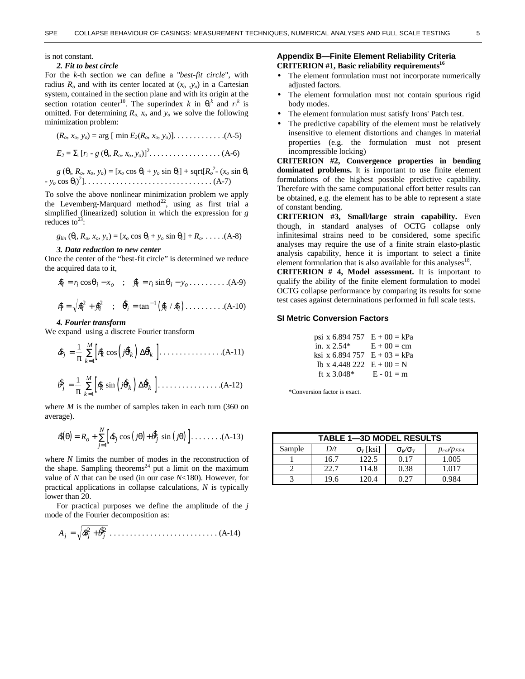### is not constant.

reduces to<sup>23</sup>:

### *2. Fit to best circle*

For the *k*-th section we can define a "*best-fit circle*", with radius  $R_o$  and with its center located at  $(x_o, y_o)$  in a Cartesian system, contained in the section plane and with its origin at the section rotation center<sup>10</sup>. The superindex *k* in  $\theta_i^k$  and  $r_i^k$  is omitted. For determining  $R_{o}$ ,  $x_{o}$  and  $y_{o}$  we solve the following minimization problem:

(*Ro, xo, yo*) = arg [ min *E2*(*Ro, xo, yo*)]. . . . . . . . . . . . .(A-5) *E<sup>2</sup>* = Σ<sup>i</sup> [*r<sup>i</sup>* - *g* (θ*<sup>i</sup>* , *Ro, xo, yo*)]<sup>2</sup> . . . . . . . . . . . . . . . . . . (A-6) *g* (θ*<sup>i</sup>* , *Ro, xo, yo*) = [*x<sup>o</sup>* cos θ*<sup>i</sup>* + *y<sup>o</sup>* sin θ*i*] + sqrt[*R<sup>o</sup>* 2 - (*x<sup>o</sup>* sin θ*<sup>i</sup>* - *y<sup>o</sup>* cos θ*i*) 2 ]. . . . . . . . . . . . . . . . . . . . . . . . . . . . . . . . (A-7)

To solve the above nonlinear minimization problem we apply the Levemberg-Marquard method<sup>22</sup>, using as first trial a simplified (linearized) solution in which the expression for *g*

$$
g_{lin} (\theta_i, R_o, x_o, y_o) = [x_o \cos \theta_i + y_o \sin \theta_i] + R_o. \ldots . (A-8)
$$

#### *3. Data reduction to new center*

Once the center of the "best-fit circle" is determined we reduce the acquired data to it,

$$
\hat{\boldsymbol{x}}_i = r_i \cos \theta_i - x_o \quad ; \quad \hat{\boldsymbol{y}}_i = r_i \sin \theta_i - y_o \dots \dots \dots \dots (A-9)
$$

\$ \$ \$ ; ( ) \$ *r xy* tan *y*\$ / *x*\$ *<sup>i</sup>* = *<sup>i</sup>* + *<sup>i</sup> <sup>i</sup>* = *<sup>i</sup> <sup>i</sup>* 2 2 −1 θ . . . . . . . . . .(A-10)

#### *4. Fourier transform*

We expand using a discrete Fourier transform

[ ( ) ] \$ \$ cos \$ \$ *a r j j k k k k M* = = ∑ 1 π <sup>1</sup> θ Δθ . . . . . . . . . . . . . . . .(A-11)

[ ( ) ] \$ \$ sin \$ \$ *b r j j k k k k M* = = ∑ 1 π <sup>1</sup> θ Δθ . . . . . . . . . . . . . . . .(A-12)

where *M* is the number of samples taken in each turn (360 on average).

$$
\hat{\boldsymbol{s}}(\theta) = R_o + \sum_{j=1}^{N} \left[ \hat{\boldsymbol{\delta}}_j \cos(j\theta) + \hat{\boldsymbol{\delta}}_j \sin(j\theta) \right] \dots \dots \dots (A-13)
$$

where *N* limits the number of modes in the reconstruction of the shape. Sampling theorems<sup>24</sup> put a limit on the maximum value of *N* that can be used (in our case *N*<180). However, for practical applications in collapse calculations, *N* is typically lower than 20.

For practical purposes we define the amplitude of the *j* mode of the Fourier decomposition as:

$$
A_j = \sqrt{\hat{\boldsymbol{\delta}}_j^2 + \hat{\boldsymbol{\delta}}_j^2} \dots \dots \dots \dots \dots \dots \dots \dots \dots \dots (A-14)
$$

### **Appendix B—Finite Element Reliability Criteria CRITERION #1, Basic reliability requirements<sup>16</sup>**

- The element formulation must not incorporate numerically adjusted factors.
- The element formulation must not contain spurious rigid body modes.
- The element formulation must satisfy Irons' Patch test.
- The predictive capability of the element must be relatively insensitive to element distortions and changes in material properties (e.g. the formulation must not present incompressible locking)

**CRITERION #2, Convergence properties in bending dominated problems.** It is important to use finite element formulations of the highest possible predictive capability. Therefore with the same computational effort better results can be obtained, e.g. the element has to be able to represent a state of constant bending.

**CRITERION #3, Small/large strain capability.** Even though, in standard analyses of OCTG collapse only infinitesimal strains need to be considered, some specific analyses may require the use of a finite strain elasto-plastic analysis capability, hence it is important to select a finite element formulation that is also available for this analyses $18$ .

**CRITERION # 4, Model assessment.** It is important to qualify the ability of the finite element formulation to model OCTG collapse performance by comparing its results for some test cases against determinations performed in full scale tests.

#### **SI Metric Conversion Factors**

| psi x 6.894 757                | $E + 00 = kPa$ |
|--------------------------------|----------------|
| in. $x 2.54*$                  | $E + 00 = cm$  |
| ksi x 6.894 757 $E + 03 = kPa$ |                |
| lb x 4.448 222 $E + 00 = N$    |                |
| ft x $3.048*$                  | $E - 01 = m$   |

\*Conversion factor is exact.

| <b>TABLE 1-3D MODEL RESULTS</b> |      |                  |                     |                  |
|---------------------------------|------|------------------|---------------------|------------------|
| Sample                          | D/t  | $\sigma_Y$ [ksi] | $\sigma_R/\sigma_Y$ | $p_{co}/p_{FEA}$ |
|                                 | 16.7 | 122.5            | 0.17                | 1.005            |
|                                 | 22.7 | 114.8            | 0.38                | 1.017            |
|                                 | 19.6 | 20.4             | በ 27                | O 984            |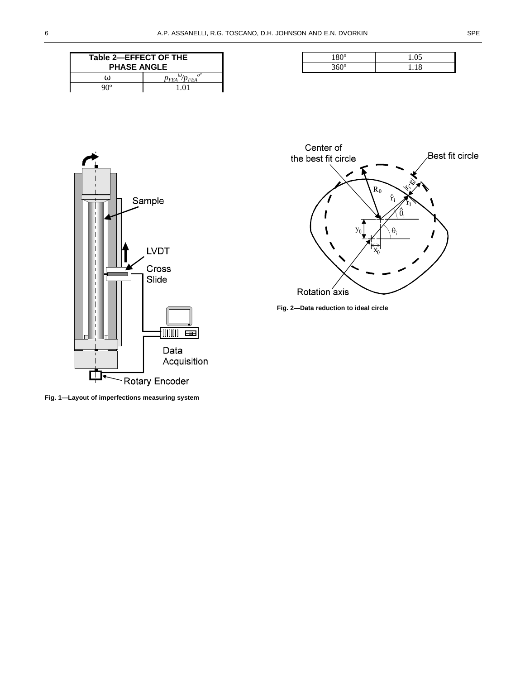| Table 2-EFFECT OF THE<br><b>PHASE ANGLE</b> |                                              |  |
|---------------------------------------------|----------------------------------------------|--|
| ⋒                                           | $p_{FEA}^{\mathbf{w}}/p_{FEA}^{\mathbf{w}'}$ |  |
| റെ                                          | 1.01                                         |  |

| ഹ        | <br>. . |
|----------|---------|
| $\Omega$ | . .     |







**Fig. 1—Layout of imperfections measuring system**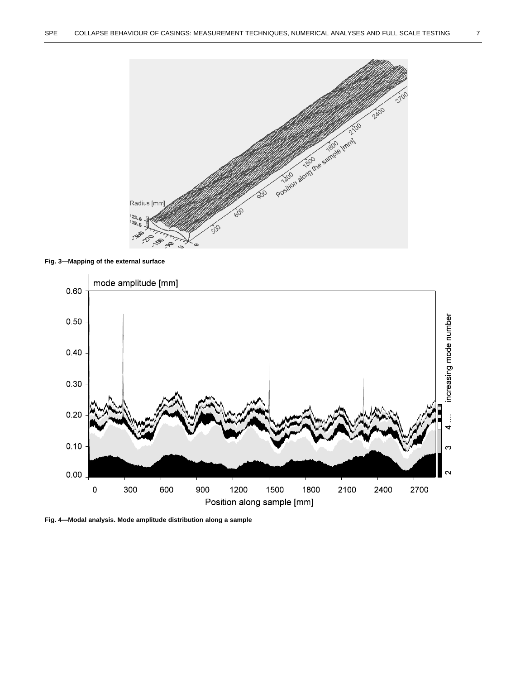

### **Fig. 3—Mapping of the external surface**



**Fig. 4—Modal analysis. Mode amplitude distribution along a sample**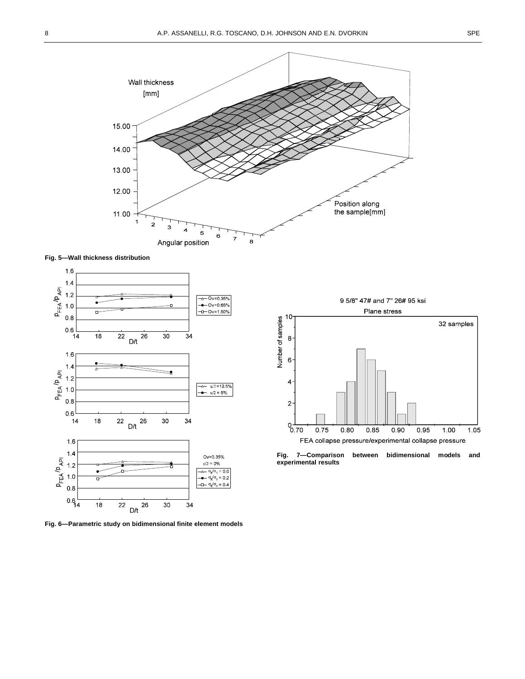

**Fig. 5—Wall thickness distribution**



**Fig. 6—Parametric study on bidimensional finite element models**



between bidimensional models and **experimental results**